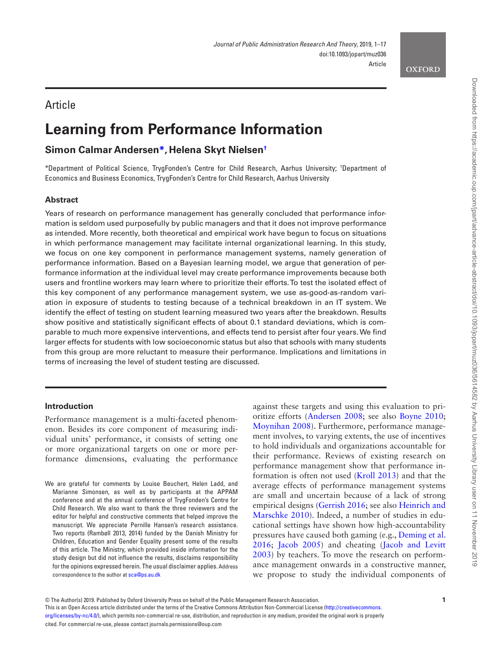#### **OXFORD**

# **Article**

# **Learning from Performance Information**

## **Simon Calmar Anderse[n\\*,](#page-0-0) Helena Skyt Nielsen[†](#page-0-0)**

<span id="page-0-0"></span>\*Department of Political Science, TrygFonden's Centre for Child Research, Aarhus University; † Department of Economics and Business Economics, TrygFonden's Centre for Child Research, Aarhus University

## **Abstract**

Years of research on performance management has generally concluded that performance information is seldom used purposefully by public managers and that it does not improve performance as intended. More recently, both theoretical and empirical work have begun to focus on situations in which performance management may facilitate internal organizational learning. In this study, we focus on one key component in performance management systems, namely generation of performance information. Based on a Bayesian learning model, we argue that generation of performance information at the individual level may create performance improvements because both users and frontline workers may learn where to prioritize their efforts. To test the isolated effect of this key component of any performance management system, we use as-good-as-random variation in exposure of students to testing because of a technical breakdown in an IT system. We identify the effect of testing on student learning measured two years after the breakdown. Results show positive and statistically significant effects of about 0.1 standard deviations, which is comparable to much more expensive interventions, and effects tend to persist after four years. We find larger effects for students with low socioeconomic status but also that schools with many students from this group are more reluctant to measure their performance. Implications and limitations in terms of increasing the level of student testing are discussed.

## **Introduction**

Performance management is a multi-faceted phenomenon. Besides its core component of measuring individual units' performance, it consists of setting one or more organizational targets on one or more performance dimensions, evaluating the performance

against these targets and using this evaluation to prioritize efforts [\(Andersen 2008;](#page-15-0) see also [Boyne 2010;](#page-15-1) [Moynihan 2008](#page-16-0)). Furthermore, performance management involves, to varying extents, the use of incentives to hold individuals and organizations accountable for their performance. Reviews of existing research on performance management show that performance information is often not used ([Kroll 2013\)](#page-16-1) and that the average effects of performance management systems are small and uncertain because of a lack of strong empirical designs [\(Gerrish 2016](#page-16-2); see also [Heinrich and](#page-16-3)  [Marschke 2010](#page-16-3)). Indeed, a number of studies in educational settings have shown how high-accountability pressures have caused both gaming (e.g., [Deming et al.](#page-15-2)  [2016;](#page-15-2) [Jacob 2005](#page-16-4)) and cheating [\(Jacob and Levitt](#page-16-5)  [2003\)](#page-16-5) by teachers. To move the research on performance management onwards in a constructive manner, we propose to study the individual components of

© The Author(s) 2019. Published by Oxford University Press on behalf of the Public Management Research Association. This is an Open Access article distributed under the terms of the Creative Commons Attribution Non-Commercial License [\(http://creativecommons.](http://creativecommons.org/licenses/by-nc/4.0/) [org/licenses/by-nc/4.0/\)](http://creativecommons.org/licenses/by-nc/4.0/), which permits non-commercial re-use, distribution, and reproduction in any medium, provided the original work is properly cited. For commercial re-use, please contact journals.permissions@oup.com

We are grateful for comments by Louise Beuchert, Helen Ladd, and Marianne Simonsen, as well as by participants at the APPAM conference and at the annual conference of TrygFonden's Centre for Child Research. We also want to thank the three reviewers and the editor for helpful and constructive comments that helped improve the manuscript. We appreciate Pernille Hansen's research assistance. Two reports (Rambøll 2013, 2014) funded by the Danish Ministry for Children, Education and Gender Equality present some of the results of this article. The Ministry, which provided inside information for the study design but did not influence the results, disclaims responsibility for the opinions expressed herein. The usual disclaimer applies. Address correspondence to the author at [sca@ps.au.dk](mailto:sca@ps.au.dk?subject=)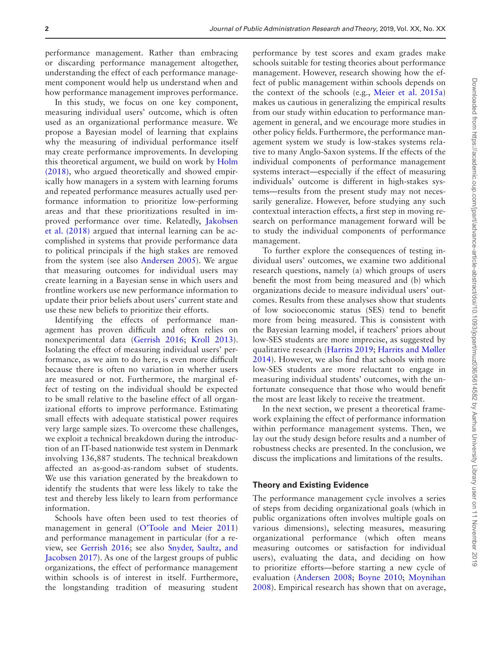performance management. Rather than embracing or discarding performance management altogether, understanding the effect of each performance management component would help us understand when and how performance management improves performance.

In this study, we focus on one key component, measuring individual users' outcome, which is often used as an organizational performance measure. We propose a Bayesian model of learning that explains why the measuring of individual performance itself may create performance improvements. In developing this theoretical argument, we build on work by [Holm](#page-16-6)  [\(2018\),](#page-16-6) who argued theoretically and showed empirically how managers in a system with learning forums and repeated performance measures actually used performance information to prioritize low-performing areas and that these prioritizations resulted in improved performance over time. Relatedly, [Jakobsen](#page-16-7)  [et al. \(2018\)](#page-16-7) argued that internal learning can be accomplished in systems that provide performance data to political principals if the high stakes are removed from the system (see also [Andersen 2005\)](#page-15-3). We argue that measuring outcomes for individual users may create learning in a Bayesian sense in which users and frontline workers use new performance information to update their prior beliefs about users' current state and use these new beliefs to prioritize their efforts.

Identifying the effects of performance management has proven difficult and often relies on nonexperimental data [\(Gerrish 2016](#page-16-2); [Kroll 2013\)](#page-16-1). Isolating the effect of measuring individual users' performance, as we aim to do here, is even more difficult because there is often no variation in whether users are measured or not. Furthermore, the marginal effect of testing on the individual should be expected to be small relative to the baseline effect of all organizational efforts to improve performance. Estimating small effects with adequate statistical power requires very large sample sizes. To overcome these challenges, we exploit a technical breakdown during the introduction of an IT-based nationwide test system in Denmark involving 136,887 students. The technical breakdown affected an as-good-as-random subset of students. We use this variation generated by the breakdown to identify the students that were less likely to take the test and thereby less likely to learn from performance information.

Schools have often been used to test theories of management in general [\(O'Toole and Meier 2011](#page-16-8)) and performance management in particular (for a review, see [Gerrish 2016](#page-16-2); see also [Snyder, Saultz, and](#page-16-9)  [Jacobsen 2017](#page-16-9)). As one of the largest groups of public organizations, the effect of performance management within schools is of interest in itself. Furthermore, the longstanding tradition of measuring student

performance by test scores and exam grades make schools suitable for testing theories about performance management. However, research showing how the effect of public management within schools depends on the context of the schools (e.g., [Meier et al. 2015a](#page-16-10)) makes us cautious in generalizing the empirical results from our study within education to performance management in general, and we encourage more studies in other policy fields. Furthermore, the performance management system we study is low-stakes systems relative to many Anglo-Saxon systems. If the effects of the individual components of performance management systems interact—especially if the effect of measuring individuals' outcome is different in high-stakes systems—results from the present study may not necessarily generalize. However, before studying any such contextual interaction effects, a first step in moving research on performance management forward will be to study the individual components of performance management.

To further explore the consequences of testing individual users' outcomes, we examine two additional research questions, namely (a) which groups of users benefit the most from being measured and (b) which organizations decide to measure individual users' outcomes. Results from these analyses show that students of low socioeconomic status (SES) tend to benefit more from being measured. This is consistent with the Bayesian learning model, if teachers' priors about low-SES students are more imprecise, as suggested by qualitative research ([Harrits 2019;](#page-16-11) [Harrits and Møller](#page-16-12)  [2014\)](#page-16-12). However, we also find that schools with more low-SES students are more reluctant to engage in measuring individual students' outcomes, with the unfortunate consequence that those who would benefit the most are least likely to receive the treatment.

In the next section, we present a theoretical framework explaining the effect of performance information within performance management systems. Then, we lay out the study design before results and a number of robustness checks are presented. In the conclusion, we discuss the implications and limitations of the results.

## **Theory and Existing Evidence**

The performance management cycle involves a series of steps from deciding organizational goals (which in public organizations often involves multiple goals on various dimensions), selecting measures, measuring organizational performance (which often means measuring outcomes or satisfaction for individual users), evaluating the data, and deciding on how to prioritize efforts—before starting a new cycle of evaluation ([Andersen 2008](#page-15-0); [Boyne 2010](#page-15-1); [Moynihan](#page-16-0)  [2008\)](#page-16-0). Empirical research has shown that on average,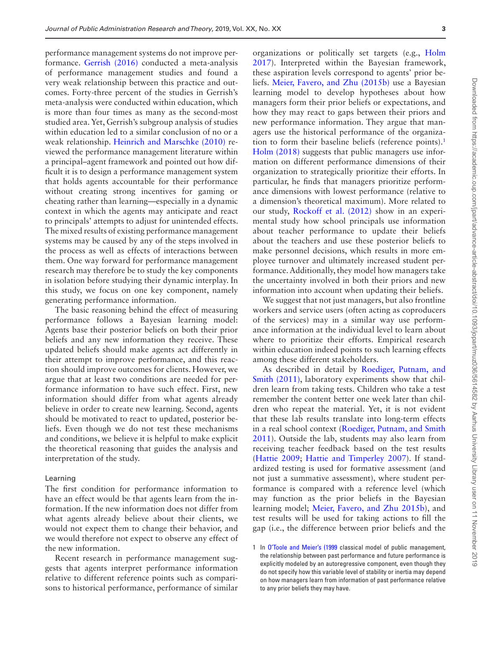performance management systems do not improve performance. [Gerrish \(2016\)](#page-16-2) conducted a meta-analysis of performance management studies and found a very weak relationship between this practice and outcomes. Forty-three percent of the studies in Gerrish's meta-analysis were conducted within education, which is more than four times as many as the second-most studied area. Yet, Gerrish's subgroup analysis of studies within education led to a similar conclusion of no or a weak relationship. [Heinrich and Marschke \(2010\)](#page-16-3) reviewed the performance management literature within a principal–agent framework and pointed out how difficult it is to design a performance management system that holds agents accountable for their performance without creating strong incentives for gaming or cheating rather than learning—especially in a dynamic context in which the agents may anticipate and react to principals' attempts to adjust for unintended effects. The mixed results of existing performance management systems may be caused by any of the steps involved in the process as well as effects of interactions between them. One way forward for performance management research may therefore be to study the key components in isolation before studying their dynamic interplay. In this study, we focus on one key component, namely generating performance information.

The basic reasoning behind the effect of measuring performance follows a Bayesian learning model: Agents base their posterior beliefs on both their prior beliefs and any new information they receive. These updated beliefs should make agents act differently in their attempt to improve performance, and this reaction should improve outcomes for clients. However, we argue that at least two conditions are needed for performance information to have such effect. First, new information should differ from what agents already believe in order to create new learning. Second, agents should be motivated to react to updated, posterior beliefs. Even though we do not test these mechanisms and conditions, we believe it is helpful to make explicit the theoretical reasoning that guides the analysis and interpretation of the study.

#### Learning

The first condition for performance information to have an effect would be that agents learn from the information. If the new information does not differ from what agents already believe about their clients, we would not expect them to change their behavior, and we would therefore not expect to observe any effect of the new information.

Recent research in performance management suggests that agents interpret performance information relative to different reference points such as comparisons to historical performance, performance of similar organizations or politically set targets (e.g., [Holm](#page-16-13)  [2017\)](#page-16-13). Interpreted within the Bayesian framework, these aspiration levels correspond to agents' prior beliefs. [Meier, Favero, and Zhu \(2015b\)](#page-16-14) use a Bayesian learning model to develop hypotheses about how managers form their prior beliefs or expectations, and how they may react to gaps between their priors and new performance information. They argue that managers use the historical performance of the organization to form their baseline beliefs (reference points).<sup>1</sup> [Holm \(2018\)](#page-16-6) suggests that public managers use information on different performance dimensions of their organization to strategically prioritize their efforts. In particular, he finds that managers prioritize performance dimensions with lowest performance (relative to a dimension's theoretical maximum). More related to our study, [Rockoff et al. \(2012\)](#page-16-15) show in an experimental study how school principals use information about teacher performance to update their beliefs about the teachers and use these posterior beliefs to make personnel decisions, which results in more employee turnover and ultimately increased student performance. Additionally, they model how managers take the uncertainty involved in both their priors and new information into account when updating their beliefs.

We suggest that not just managers, but also frontline workers and service users (often acting as coproducers of the services) may in a similar way use performance information at the individual level to learn about where to prioritize their efforts. Empirical research within education indeed points to such learning effects among these different stakeholders.

As described in detail by [Roediger, Putnam, and](#page-16-16)  [Smith \(2011\)](#page-16-16), laboratory experiments show that children learn from taking tests. Children who take a test remember the content better one week later than children who repeat the material. Yet, it is not evident that these lab results translate into long-term effects in a real school context ([Roediger, Putnam, and Smith](#page-16-16)  [2011\)](#page-16-16). Outside the lab, students may also learn from receiving teacher feedback based on the test results ([Hattie 2009;](#page-16-17) [Hattie and Timperley 2007\)](#page-16-18). If standardized testing is used for formative assessment (and not just a summative assessment), where student performance is compared with a reference level (which may function as the prior beliefs in the Bayesian learning model; [Meier, Favero, and Zhu 2015b\)](#page-16-14), and test results will be used for taking actions to fill the gap (i.e., the difference between prior beliefs and the

<span id="page-2-0"></span><sup>1</sup> In [O'Toole and Meier's \(1999](#page-16-19) classical model of public management, the relationship between past performance and future performance is explicitly modeled by an autoregressive component, even though they do not specify how this variable level of stability or inertia may depend on how managers learn from information of past performance relative to any prior beliefs they may have.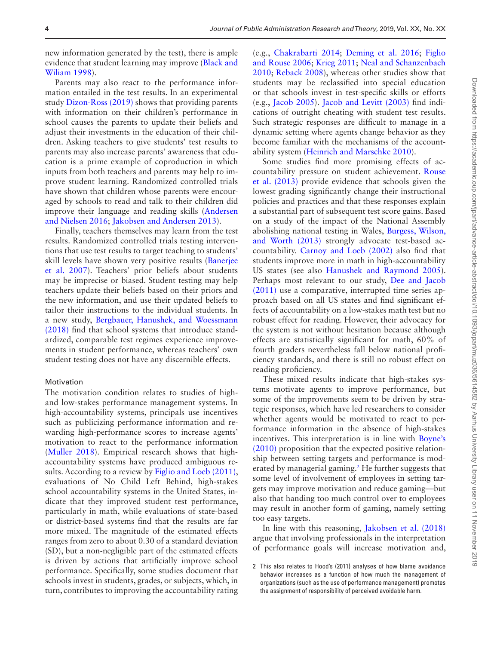new information generated by the test), there is ample evidence that student learning may improve [\(Black and](#page-15-4)  [Wiliam 1998](#page-15-4)).

Parents may also react to the performance information entailed in the test results. In an experimental study [Dizon-Ross \(2019\)](#page-15-5) shows that providing parents with information on their children's performance in school causes the parents to update their beliefs and adjust their investments in the education of their children. Asking teachers to give students' test results to parents may also increase parents' awareness that education is a prime example of coproduction in which inputs from both teachers and parents may help to improve student learning. Randomized controlled trials have shown that children whose parents were encouraged by schools to read and talk to their children did improve their language and reading skills [\(Andersen](#page-15-6)  [and Nielsen 2016;](#page-15-6) [Jakobsen and Andersen 2013\)](#page-16-20).

Finally, teachers themselves may learn from the test results. Randomized controlled trials testing interventions that use test results to target teaching to students' skill levels have shown very positive results ([Banerjee](#page-15-7)  [et al. 2007\)](#page-15-7). Teachers' prior beliefs about students may be imprecise or biased. Student testing may help teachers update their beliefs based on their priors and the new information, and use their updated beliefs to tailor their instructions to the individual students. In a new study, [Bergbauer, Hanushek, and Woessmann](#page-15-8)  [\(2018\)](#page-15-8) find that school systems that introduce standardized, comparable test regimes experience improvements in student performance, whereas teachers' own student testing does not have any discernible effects.

#### Motivation

The motivation condition relates to studies of highand low-stakes performance management systems. In high-accountability systems, principals use incentives such as publicizing performance information and rewarding high-performance scores to increase agents' motivation to react to the performance information ([Muller 2018\)](#page-16-21). Empirical research shows that highaccountability systems have produced ambiguous results. According to a review by [Figlio and Loeb \(2011\)](#page-15-9), evaluations of No Child Left Behind, high-stakes school accountability systems in the United States, indicate that they improved student test performance, particularly in math, while evaluations of state-based or district-based systems find that the results are far more mixed. The magnitude of the estimated effects ranges from zero to about 0.30 of a standard deviation (SD), but a non-negligible part of the estimated effects is driven by actions that artificially improve school performance. Specifically, some studies document that schools invest in students, grades, or subjects, which, in turn, contributes to improving the accountability rating

(e.g., [Chakrabarti 2014](#page-15-10); [Deming et al. 2016;](#page-15-2) [Figlio](#page-16-22)  [and Rouse 2006;](#page-16-22) [Krieg 2011;](#page-16-23) [Neal and Schanzenbach](#page-16-24)  [2010;](#page-16-24) [Reback 2008](#page-16-25)), whereas other studies show that students may be reclassified into special education or that schools invest in test-specific skills or efforts (e.g., [Jacob 2005](#page-16-4)). [Jacob and Levitt \(2003\)](#page-16-5) find indications of outright cheating with student test results. Such strategic responses are difficult to manage in a dynamic setting where agents change behavior as they become familiar with the mechanisms of the accountability system ([Heinrich and Marschke 2010\)](#page-16-3).

Some studies find more promising effects of accountability pressure on student achievement. [Rouse](#page-16-26)  [et al. \(2013\)](#page-16-26) provide evidence that schools given the lowest grading significantly change their instructional policies and practices and that these responses explain a substantial part of subsequent test score gains. Based on a study of the impact of the National Assembly abolishing national testing in Wales, [Burgess, Wilson,](#page-15-11)  [and Worth \(2013\)](#page-15-11) strongly advocate test-based accountability. [Carnoy and Loeb \(2002\)](#page-15-12) also find that students improve more in math in high-accountability US states (see also [Hanushek and Raymond 2005\)](#page-16-27). Perhaps most relevant to our study, [Dee and Jacob](#page-15-13)  [\(2011\)](#page-15-13) use a comparative, interrupted time series approach based on all US states and find significant effects of accountability on a low-stakes math test but no robust effect for reading. However, their advocacy for the system is not without hesitation because although effects are statistically significant for math, 60% of fourth graders nevertheless fall below national proficiency standards, and there is still no robust effect on reading proficiency.

These mixed results indicate that high-stakes systems motivate agents to improve performance, but some of the improvements seem to be driven by strategic responses, which have led researchers to consider whether agents would be motivated to react to performance information in the absence of high-stakes incentives. This interpretation is in line with [Boyne's](#page-15-1)  [\(2010\)](#page-15-1) proposition that the expected positive relationship between setting targets and performance is moderated by managerial gaming.<sup>2</sup> He further suggests that some level of involvement of employees in setting targets may improve motivation and reduce gaming—but also that handing too much control over to employees may result in another form of gaming, namely setting too easy targets.

In line with this reasoning, [Jakobsen et al. \(2018\)](#page-16-7) argue that involving professionals in the interpretation of performance goals will increase motivation and,

<span id="page-3-0"></span><sup>2</sup> This also relates to Hood's (2011) analyses of how blame avoidance behavior increases as a function of how much the management of organizations (such as the use of performance management) promotes the assignment of responsibility of perceived avoidable harm.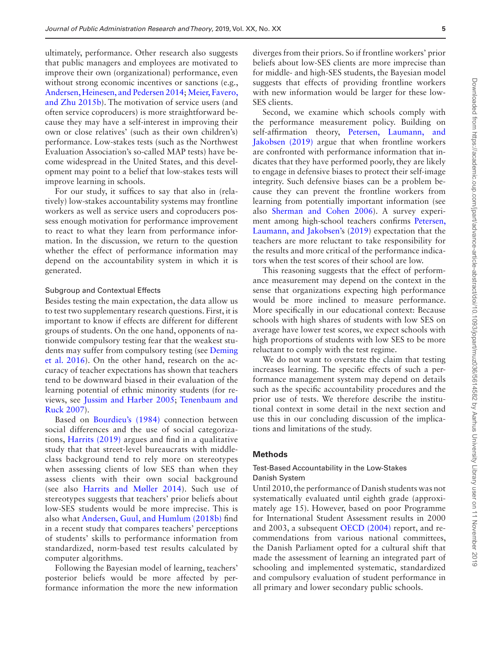ultimately, performance. Other research also suggests that public managers and employees are motivated to improve their own (organizational) performance, even without strong economic incentives or sanctions (e.g., [Andersen, Heinesen, and Pedersen 2014](#page-15-14); [Meier, Favero,](#page-16-14)  [and Zhu 2015b\)](#page-16-14). The motivation of service users (and often service coproducers) is more straightforward because they may have a self-interest in improving their own or close relatives' (such as their own children's) performance. Low-stakes tests (such as the Northwest Evaluation Association's so-called MAP tests) have become widespread in the United States, and this development may point to a belief that low-stakes tests will improve learning in schools.

For our study, it suffices to say that also in (relatively) low-stakes accountability systems may frontline workers as well as service users and coproducers possess enough motivation for performance improvement to react to what they learn from performance information. In the discussion, we return to the question whether the effect of performance information may depend on the accountability system in which it is generated.

#### Subgroup and Contextual Effects

Besides testing the main expectation, the data allow us to test two supplementary research questions. First, it is important to know if effects are different for different groups of students. On the one hand, opponents of nationwide compulsory testing fear that the weakest students may suffer from compulsory testing (see [Deming](#page-15-2)  [et al. 2016](#page-15-2)). On the other hand, research on the accuracy of teacher expectations has shown that teachers tend to be downward biased in their evaluation of the learning potential of ethnic minority students (for reviews, see [Jussim and Harber 2005;](#page-16-28) [Tenenbaum and](#page-16-29)  [Ruck 2007](#page-16-29)).

Based on [Bourdieu's \(1984\)](#page-15-15) connection between social differences and the use of social categorizations, [Harrits \(2019\)](#page-16-11) argues and find in a qualitative study that that street-level bureaucrats with middleclass background tend to rely more on stereotypes when assessing clients of low SES than when they assess clients with their own social background (see also [Harrits and Møller 2014](#page-16-12)). Such use of stereotypes suggests that teachers' prior beliefs about low-SES students would be more imprecise. This is also what [Andersen, Guul, and Humlum \(2018b\)](#page-15-16) find in a recent study that compares teachers' perceptions of students' skills to performance information from standardized, norm-based test results calculated by computer algorithms.

Following the Bayesian model of learning, teachers' posterior beliefs would be more affected by performance information the more the new information diverges from their priors. So if frontline workers' prior beliefs about low-SES clients are more imprecise than for middle- and high-SES students, the Bayesian model suggests that effects of providing frontline workers with new information would be larger for these low-SES clients.

Second, we examine which schools comply with the performance measurement policy. Building on self-affirmation theory, [Petersen, Laumann, and](#page-16-30)  [Jakobsen \(2019\)](#page-16-30) argue that when frontline workers are confronted with performance information that indicates that they have performed poorly, they are likely to engage in defensive biases to protect their self-image integrity. Such defensive biases can be a problem because they can prevent the frontline workers from learning from potentially important information (see also [Sherman and Cohen 2006](#page-16-31)). A survey experiment among high-school teachers confirms [Petersen,](#page-16-30)  [Laumann, and Jakobsen'](#page-16-30)s ([2019\)](#page-16-30) expectation that the teachers are more reluctant to take responsibility for the results and more critical of the performance indicators when the test scores of their school are low.

This reasoning suggests that the effect of performance measurement may depend on the context in the sense that organizations expecting high performance would be more inclined to measure performance. More specifically in our educational context: Because schools with high shares of students with low SES on average have lower test scores, we expect schools with high proportions of students with low SES to be more reluctant to comply with the test regime.

We do not want to overstate the claim that testing increases learning. The specific effects of such a performance management system may depend on details such as the specific accountability procedures and the prior use of tests. We therefore describe the institutional context in some detail in the next section and use this in our concluding discussion of the implications and limitations of the study.

## **Methods**

## Test-Based Accountability in the Low-Stakes Danish System

Until 2010, the performance of Danish students was not systematically evaluated until eighth grade (approximately age 15). However, based on poor Programme for International Student Assessment results in 2000 and 2003, a subsequent [OECD \(2004\)](#page-16-32) report, and recommendations from various national committees, the Danish Parliament opted for a cultural shift that made the assessment of learning an integrated part of schooling and implemented systematic, standardized and compulsory evaluation of student performance in all primary and lower secondary public schools.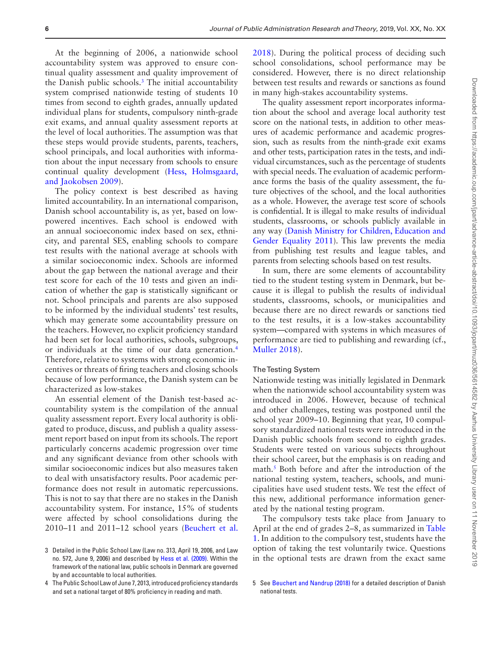At the beginning of 2006, a nationwide school accountability system was approved to ensure continual quality assessment and quality improvement of the Danish public schools[.3](#page-5-0) The initial accountability system comprised nationwide testing of students 10 times from second to eighth grades, annually updated individual plans for students, compulsory ninth-grade exit exams, and annual quality assessment reports at the level of local authorities. The assumption was that these steps would provide students, parents, teachers, school principals, and local authorities with information about the input necessary from schools to ensure continual quality development [\(Hess, Holmsgaard,](#page-16-33)  [and Jaokobsen 2009\)](#page-16-33).

The policy context is best described as having limited accountability. In an international comparison, Danish school accountability is, as yet, based on lowpowered incentives. Each school is endowed with an annual socioeconomic index based on sex, ethnicity, and parental SES, enabling schools to compare test results with the national average at schools with a similar socioeconomic index. Schools are informed about the gap between the national average and their test score for each of the 10 tests and given an indication of whether the gap is statistically significant or not. School principals and parents are also supposed to be informed by the individual students' test results, which may generate some accountability pressure on the teachers. However, no explicit proficiency standard had been set for local authorities, schools, subgroups, or individuals at the time of our data generation[.4](#page-5-1) Therefore, relative to systems with strong economic incentives or threats of firing teachers and closing schools because of low performance, the Danish system can be characterized as low-stakes

An essential element of the Danish test-based accountability system is the compilation of the annual quality assessment report. Every local authority is obligated to produce, discuss, and publish a quality assessment report based on input from its schools. The report particularly concerns academic progression over time and any significant deviance from other schools with similar socioeconomic indices but also measures taken to deal with unsatisfactory results. Poor academic performance does not result in automatic repercussions. This is not to say that there are no stakes in the Danish accountability system. For instance, 15% of students were affected by school consolidations during the 2010–11 and 2011–12 school years ([Beuchert et al.](#page-15-17) 

[2018\)](#page-15-17). During the political process of deciding such school consolidations, school performance may be considered. However, there is no direct relationship between test results and rewards or sanctions as found in many high-stakes accountability systems.

The quality assessment report incorporates information about the school and average local authority test score on the national tests, in addition to other measures of academic performance and academic progression, such as results from the ninth-grade exit exams and other tests, participation rates in the tests, and individual circumstances, such as the percentage of students with special needs. The evaluation of academic performance forms the basis of the quality assessment, the future objectives of the school, and the local authorities as a whole. However, the average test score of schools is confidential. It is illegal to make results of individual students, classrooms, or schools publicly available in any way ([Danish Ministry for Children, Education and](#page-15-18)  [Gender Equality 2011](#page-15-18)). This law prevents the media from publishing test results and league tables, and parents from selecting schools based on test results.

In sum, there are some elements of accountability tied to the student testing system in Denmark, but because it is illegal to publish the results of individual students, classrooms, schools, or municipalities and because there are no direct rewards or sanctions tied to the test results, it is a low-stakes accountability system—compared with systems in which measures of performance are tied to publishing and rewarding (cf., [Muller 2018](#page-16-21)).

### The Testing System

Nationwide testing was initially legislated in Denmark when the nationwide school accountability system was introduced in 2006. However, because of technical and other challenges, testing was postponed until the school year 2009–10. Beginning that year, 10 compulsory standardized national tests were introduced in the Danish public schools from second to eighth grades. Students were tested on various subjects throughout their school career, but the emphasis is on reading and math.<sup>5</sup> Both before and after the introduction of the national testing system, teachers, schools, and municipalities have used student tests. We test the effect of this new, additional performance information generated by the national testing program.

The compulsory tests take place from January to April at the end of grades 2–8, as summarized in [Table](#page-6-0)  [1](#page-6-0). In addition to the compulsory test, students have the option of taking the test voluntarily twice. Questions in the optional tests are drawn from the exact same

<span id="page-5-0"></span><sup>3</sup> Detailed in the Public School Law (Law no. 313, April 19, 2006, and Law no. 572, June 9, 2006) and described by [Hess et al. \(2009\).](#page-16-33) Within the framework of the national law, public schools in Denmark are governed by and accountable to local authorities.

<span id="page-5-1"></span><sup>4</sup> The Public School Law of June 7, 2013, introduced proficiency standards and set a national target of 80% proficiency in reading and math.

<span id="page-5-2"></span><sup>5</sup> See [Beuchert and Nandrup \(2018\)](#page-15-17) for a detailed description of Danish national tests.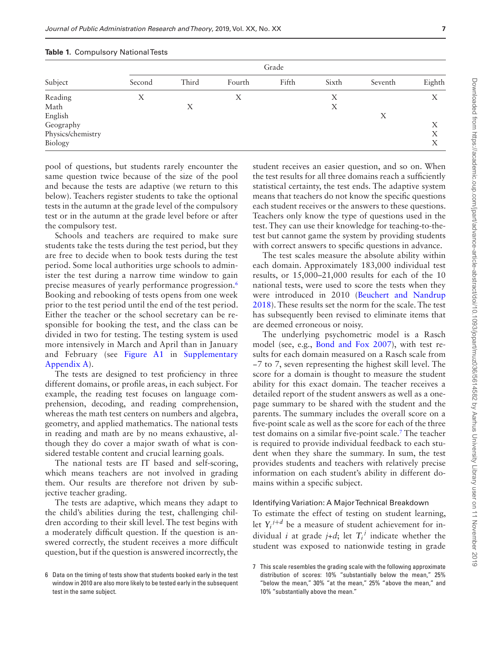|                   | Grade  |       |        |       |       |         |        |  |  |
|-------------------|--------|-------|--------|-------|-------|---------|--------|--|--|
| Subject           | Second | Third | Fourth | Fifth | Sixth | Seventh | Eighth |  |  |
| Reading           | X      |       | X      |       | X     |         | Х      |  |  |
| Math              |        | X     |        |       | X     |         |        |  |  |
| English           |        |       |        |       |       | X       |        |  |  |
| Geography         |        |       |        |       |       |         | Χ      |  |  |
| Physics/chemistry |        |       |        |       |       |         | Χ      |  |  |
| Biology           |        |       |        |       |       |         | Х      |  |  |

<span id="page-6-0"></span>**Table 1.** Compulsory National Tests

pool of questions, but students rarely encounter the same question twice because of the size of the pool and because the tests are adaptive (we return to this below). Teachers register students to take the optional tests in the autumn at the grade level of the compulsory test or in the autumn at the grade level before or after the compulsory test.

Schools and teachers are required to make sure students take the tests during the test period, but they are free to decide when to book tests during the test period. Some local authorities urge schools to administer the test during a narrow time window to gain precise measures of yearly performance progression[.6](#page-6-1) Booking and rebooking of tests opens from one week prior to the test period until the end of the test period. Either the teacher or the school secretary can be responsible for booking the test, and the class can be divided in two for testing. The testing system is used more intensively in March and April than in January and February (see [Figure A1](http://academic.oup.com/jpart/article-lookup/doi/10.1093/jopart/muz036#supplementary-data) in [Supplementary](http://academic.oup.com/jpart/article-lookup/doi/10.1093/jopart/muz036#supplementary-data)  [Appendix A](http://academic.oup.com/jpart/article-lookup/doi/10.1093/jopart/muz036#supplementary-data)).

The tests are designed to test proficiency in three different domains, or profile areas, in each subject. For example, the reading test focuses on language comprehension, decoding, and reading comprehension, whereas the math test centers on numbers and algebra, geometry, and applied mathematics. The national tests in reading and math are by no means exhaustive, although they do cover a major swath of what is considered testable content and crucial learning goals.

The national tests are IT based and self-scoring, which means teachers are not involved in grading them. Our results are therefore not driven by subjective teacher grading.

The tests are adaptive, which means they adapt to the child's abilities during the test, challenging children according to their skill level. The test begins with a moderately difficult question. If the question is answered correctly, the student receives a more difficult question, but if the question is answered incorrectly, the

student receives an easier question, and so on. When the test results for all three domains reach a sufficiently statistical certainty, the test ends. The adaptive system means that teachers do not know the specific questions each student receives or the answers to these questions. Teachers only know the type of questions used in the test. They can use their knowledge for teaching-to-thetest but cannot game the system by providing students with correct answers to specific questions in advance.

The test scales measure the absolute ability within each domain. Approximately 183,000 individual test results, or 15,000–21,000 results for each of the 10 national tests, were used to score the tests when they were introduced in 2010 [\(Beuchert and Nandrup](#page-15-17)  [2018\)](#page-15-17). These results set the norm for the scale. The test has subsequently been revised to eliminate items that are deemed erroneous or noisy.

The underlying psychometric model is a Rasch model (see, e.g., [Bond and Fox 2007\)](#page-15-19), with test results for each domain measured on a Rasch scale from −7 to 7, seven representing the highest skill level. The score for a domain is thought to measure the student ability for this exact domain. The teacher receives a detailed report of the student answers as well as a onepage summary to be shared with the student and the parents. The summary includes the overall score on a five-point scale as well as the score for each of the three test domains on a similar five-point scale.[7](#page-6-2) The teacher is required to provide individual feedback to each student when they share the summary. In sum, the test provides students and teachers with relatively precise information on each student's ability in different domains within a specific subject.

#### Identifying Variation: A Major Technical Breakdown

To estimate the effect of testing on student learning, let  $Y_i^{j+d}$  be a measure of student achievement for individual *i* at grade  $j+d$ ; let  $T_i^j$  indicate whether the student was exposed to nationwide testing in grade

<span id="page-6-1"></span><sup>6</sup> Data on the timing of tests show that students booked early in the test window in 2010 are also more likely to be tested early in the subsequent test in the same subject.

<span id="page-6-2"></span><sup>7</sup> This scale resembles the grading scale with the following approximate distribution of scores: 10% "substantially below the mean," 25% "below the mean," 30% "at the mean," 25% "above the mean," and 10% "substantially above the mean."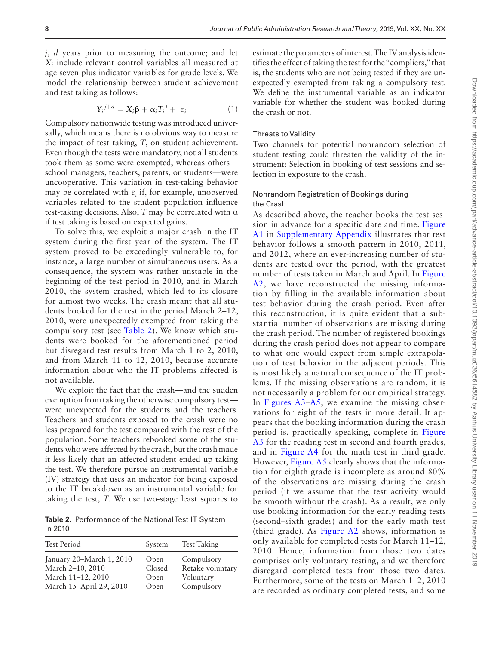*j*, *d* years prior to measuring the outcome; and let *Xi* include relevant control variables all measured at age seven plus indicator variables for grade levels. We model the relationship between student achievement and test taking as follows:

$$
Y_i^{j+d} = X_i \beta + \alpha_i T_i^j + \varepsilon_i \tag{1}
$$

Compulsory nationwide testing was introduced universally, which means there is no obvious way to measure the impact of test taking, *T*, on student achievement. Even though the tests were mandatory, not all students took them as some were exempted, whereas others school managers, teachers, parents, or students—were uncooperative. This variation in test-taking behavior may be correlated with  $\varepsilon$ <sub>*i*</sub> if, for example, unobserved variables related to the student population influence test-taking decisions. Also, *T* may be correlated with α if test taking is based on expected gains.

To solve this, we exploit a major crash in the IT system during the first year of the system. The IT system proved to be exceedingly vulnerable to, for instance, a large number of simultaneous users. As a consequence, the system was rather unstable in the beginning of the test period in 2010, and in March 2010, the system crashed, which led to its closure for almost two weeks. The crash meant that all students booked for the test in the period March 2–12, 2010, were unexpectedly exempted from taking the compulsory test (see [Table 2\)](#page-7-0). We know which students were booked for the aforementioned period but disregard test results from March 1 to 2, 2010, and from March 11 to 12, 2010, because accurate information about who the IT problems affected is not available.

We exploit the fact that the crash—and the sudden exemption from taking the otherwise compulsory test were unexpected for the students and the teachers. Teachers and students exposed to the crash were no less prepared for the test compared with the rest of the population. Some teachers rebooked some of the students who were affected by the crash, but the crash made it less likely that an affected student ended up taking the test. We therefore pursue an instrumental variable (IV) strategy that uses an indicator for being exposed to the IT breakdown as an instrumental variable for taking the test, *T*. We use two-stage least squares to

<span id="page-7-0"></span>**Table 2.** Performance of the National Test IT System in 2010

| <b>Test Period</b>       | System | <b>Test Taking</b> |
|--------------------------|--------|--------------------|
| January 20–March 1, 2010 | Open   | Compulsory         |
| March 2-10, 2010         | Closed | Retake voluntary   |
| March 11-12, 2010        | Open   | Voluntary          |
| March 15-April 29, 2010  | Open   | Compulsory         |

estimate the parameters of interest. The IV analysis identifies the effect of taking the test for the "compliers," that is, the students who are not being tested if they are unexpectedly exempted from taking a compulsory test. We define the instrumental variable as an indicator variable for whether the student was booked during the crash or not.

#### Threats to Validity

Two channels for potential nonrandom selection of student testing could threaten the validity of the instrument: Selection in booking of test sessions and selection in exposure to the crash.

## Nonrandom Registration of Bookings during the Crash

As described above, the teacher books the test session in advance for a specific date and time. [Figure](http://academic.oup.com/jpart/article-lookup/doi/10.1093/jopart/muz036#supplementary-data)  [A1](http://academic.oup.com/jpart/article-lookup/doi/10.1093/jopart/muz036#supplementary-data) in [Supplementary Appendix](http://academic.oup.com/jpart/article-lookup/doi/10.1093/jopart/muz036#supplementary-data) illustrates that test behavior follows a smooth pattern in 2010, 2011, and 2012, where an ever-increasing number of students are tested over the period, with the greatest number of tests taken in March and April. In [Figure](http://academic.oup.com/jpart/article-lookup/doi/10.1093/jopart/muz036#supplementary-data)  [A2,](http://academic.oup.com/jpart/article-lookup/doi/10.1093/jopart/muz036#supplementary-data) we have reconstructed the missing information by filling in the available information about test behavior during the crash period. Even after this reconstruction, it is quite evident that a substantial number of observations are missing during the crash period. The number of registered bookings during the crash period does not appear to compare to what one would expect from simple extrapolation of test behavior in the adjacent periods. This is most likely a natural consequence of the IT problems. If the missing observations are random, it is not necessarily a problem for our empirical strategy. In [Figures A3–A5](http://academic.oup.com/jpart/article-lookup/doi/10.1093/jopart/muz036#supplementary-data), we examine the missing observations for eight of the tests in more detail. It appears that the booking information during the crash period is, practically speaking, complete in [Figure](http://academic.oup.com/jpart/article-lookup/doi/10.1093/jopart/muz036#supplementary-data)  [A3](http://academic.oup.com/jpart/article-lookup/doi/10.1093/jopart/muz036#supplementary-data) for the reading test in second and fourth grades, and in [Figure A4](http://academic.oup.com/jpart/article-lookup/doi/10.1093/jopart/muz036#supplementary-data) for the math test in third grade. However, [Figure A5](http://academic.oup.com/jpart/article-lookup/doi/10.1093/jopart/muz036#supplementary-data) clearly shows that the information for eighth grade is incomplete as around 80% of the observations are missing during the crash period (if we assume that the test activity would be smooth without the crash). As a result, we only use booking information for the early reading tests (second–sixth grades) and for the early math test (third grade). As [Figure A2](http://academic.oup.com/jpart/article-lookup/doi/10.1093/jopart/muz036#supplementary-data) shows, information is only available for completed tests for March 11–12, 2010. Hence, information from those two dates comprises only voluntary testing, and we therefore disregard completed tests from those two dates. Furthermore, some of the tests on March 1–2, 2010 are recorded as ordinary completed tests, and some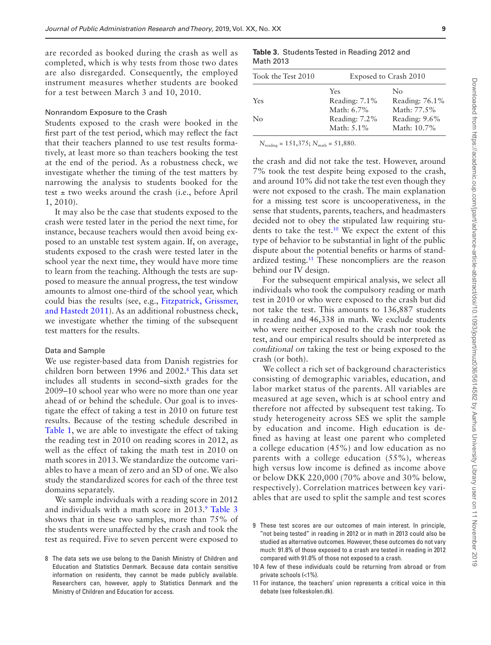are recorded as booked during the crash as well as completed, which is why tests from those two dates are also disregarded. Consequently, the employed instrument measures whether students are booked for a test between March 3 and 10, 2010.

#### Nonrandom Exposure to the Crash

Students exposed to the crash were booked in the first part of the test period, which may reflect the fact that their teachers planned to use test results formatively, at least more so than teachers booking the test at the end of the period. As a robustness check, we investigate whether the timing of the test matters by narrowing the analysis to students booked for the test  $\pm$  two weeks around the crash (i.e., before April 1, 2010).

It may also be the case that students exposed to the crash were tested later in the period the next time, for instance, because teachers would then avoid being exposed to an unstable test system again. If, on average, students exposed to the crash were tested later in the school year the next time, they would have more time to learn from the teaching. Although the tests are supposed to measure the annual progress, the test window amounts to almost one-third of the school year, which could bias the results (see, e.g., [Fitzpatrick, Grissmer,](#page-16-34)  [and Hastedt 2011](#page-16-34)). As an additional robustness check, we investigate whether the timing of the subsequent test matters for the results.

#### Data and Sample

We use register-based data from Danish registries for children born between 1996 and 2002[.8](#page-8-0) This data set includes all students in second–sixth grades for the 2009–10 school year who were no more than one year ahead of or behind the schedule. Our goal is to investigate the effect of taking a test in 2010 on future test results. Because of the testing schedule described in [Table 1,](#page-6-0) we are able to investigate the effect of taking the reading test in 2010 on reading scores in 2012, as well as the effect of taking the math test in 2010 on math scores in 2013. We standardize the outcome variables to have a mean of zero and an SD of one. We also study the standardized scores for each of the three test domains separately.

We sample individuals with a reading score in 2012 and individuals with a math score in 2013.<sup>9</sup> [Table 3](#page-8-2) shows that in these two samples, more than 75% of the students were unaffected by the crash and took the test as required. Five to seven percent were exposed to

<span id="page-8-2"></span>**Table 3.** Students Tested in Reading 2012 and Math 2013

| Took the Test 2010<br>Exposed to Crash 2010 |                |  |  |  |
|---------------------------------------------|----------------|--|--|--|
| Yes                                         | No             |  |  |  |
| Reading: 7.1%                               | Reading: 76.1% |  |  |  |
| Math: 6.7%                                  | Math: 77.5%    |  |  |  |
| Reading: 7.2%                               | Reading: 9.6%  |  |  |  |
| Math: 5.1%                                  | Math: 10.7%    |  |  |  |
|                                             |                |  |  |  |

*N*<sub>reading</sub> = 151,375; *N*<sub>math</sub> = 51,880.

the crash and did not take the test. However, around 7% took the test despite being exposed to the crash, and around 10% did not take the test even though they were not exposed to the crash. The main explanation for a missing test score is uncooperativeness, in the sense that students, parents, teachers, and headmasters decided not to obey the stipulated law requiring students to take the test.<sup>10</sup> We expect the extent of this type of behavior to be substantial in light of the public dispute about the potential benefits or harms of standardized testing.[11](#page-8-4) These noncompliers are the reason behind our IV design.

For the subsequent empirical analysis, we select all individuals who took the compulsory reading or math test in 2010 or who were exposed to the crash but did not take the test. This amounts to 136,887 students in reading and 46,338 in math. We exclude students who were neither exposed to the crash nor took the test, and our empirical results should be interpreted as *conditional on* taking the test or being exposed to the crash (or both).

We collect a rich set of background characteristics consisting of demographic variables, education, and labor market status of the parents. All variables are measured at age seven, which is at school entry and therefore not affected by subsequent test taking. To study heterogeneity across SES we split the sample by education and income. High education is defined as having at least one parent who completed a college education (45%) and low education as no parents with a college education (55%), whereas high versus low income is defined as income above or below DKK 220,000 (70% above and 30% below, respectively). Correlation matrices between key variables that are used to split the sample and test scores

<span id="page-8-0"></span><sup>8</sup> The data sets we use belong to the Danish Ministry of Children and Education and Statistics Denmark. Because data contain sensitive information on residents, they cannot be made publicly available. Researchers can, however, apply to Statistics Denmark and the Ministry of Children and Education for access.

<span id="page-8-1"></span><sup>9</sup> These test scores are our outcomes of main interest. In principle, "not being tested" in reading in 2012 or in math in 2013 could also be studied as alternative outcomes. However, these outcomes do not vary much: 91.8% of those exposed to a crash are tested in reading in 2012 compared with 91.0% of those not exposed to a crash.

<span id="page-8-3"></span><sup>10</sup> A few of these individuals could be returning from abroad or from private schools (<1%).

<span id="page-8-4"></span><sup>11</sup> For instance, the teachers' union represents a critical voice in this debate (see folkeskolen.dk).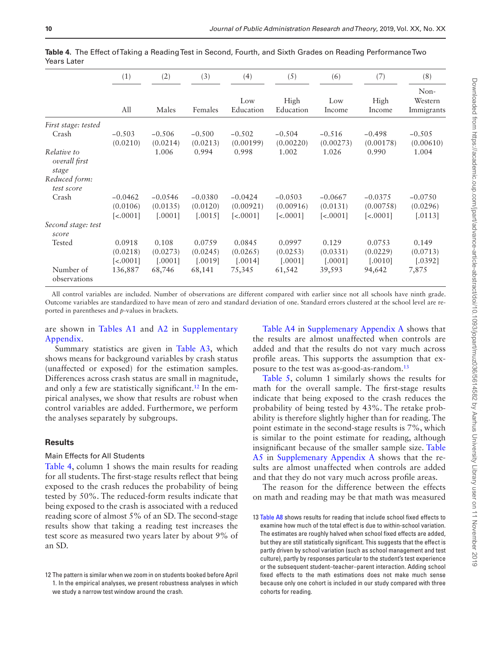|                                       | (1)                                               | (2)                              | (3)                              | (4)<br>Low<br>Education                            | (5)<br>High<br>Education                           | (6)<br>Low<br>Income                 | (7)<br>High<br>Income                              | (8)                              |
|---------------------------------------|---------------------------------------------------|----------------------------------|----------------------------------|----------------------------------------------------|----------------------------------------------------|--------------------------------------|----------------------------------------------------|----------------------------------|
|                                       | All                                               | Males                            | Females                          |                                                    |                                                    |                                      |                                                    | Non-<br>Western<br>Immigrants    |
| First stage: tested                   |                                                   |                                  |                                  |                                                    |                                                    |                                      |                                                    |                                  |
| Crash                                 | $-0.503$<br>(0.0210)                              | $-0.506$<br>(0.0214)             | $-0.500$<br>(0.0213)             | $-0.502$<br>(0.00199)                              | $-0.504$<br>(0.00220)                              | $-0.516$<br>(0.00273)                | $-0.498$<br>(0.00178)                              | $-0.505$<br>(0.00610)            |
| Relative to<br>overall first<br>stage |                                                   | 1.006                            | 0.994                            | 0.998                                              | 1.002                                              | 1.026                                | 0.990                                              | 1.004                            |
| Reduced form:<br>test score           |                                                   |                                  |                                  |                                                    |                                                    |                                      |                                                    |                                  |
| Crash                                 | $-0.0462$<br>(0.0106)<br>$\left[ < .0001 \right]$ | $-0.0546$<br>(0.0135)<br>[.0001] | $-0.0380$<br>(0.0120)<br>[.0015] | $-0.0424$<br>(0.00921)<br>$\left[ < .0001 \right]$ | $-0.0503$<br>(0.00916)<br>$\left[ < .0001 \right]$ | $-0.0667$<br>(0.0131)<br>$[-0.0001]$ | $-0.0375$<br>(0.00758)<br>$\left[ < .0001 \right]$ | $-0.0750$<br>(0.0296)<br>[.0113] |
| Second stage: test<br>score           |                                                   |                                  |                                  |                                                    |                                                    |                                      |                                                    |                                  |
| Tested                                | 0.0918<br>(0.0218)<br>$\left[ < .0001 \right]$    | 0.108<br>(0.0273)<br>[.0001]     | 0.0759<br>(0.0245)<br>[.0019]    | 0.0845<br>(0.0265)<br>[.0014]                      | 0.0997<br>(0.0253)<br>[.0001]                      | 0.129<br>(0.0331)<br>[.0001]         | 0.0753<br>(0.0229)<br>[.0010]                      | 0.149<br>(0.0713)<br>[.0392]     |
| Number of<br>observations             | 136,887                                           | 68,746                           | 68,141                           | 75,345                                             | 61,542                                             | 39,593                               | 94,642                                             | 7,875                            |

<span id="page-9-1"></span>**Table 4.** The Effect of Taking a Reading Test in Second, Fourth, and Sixth Grades on Reading Performance Two Years Later

All control variables are included. Number of observations are different compared with earlier since not all schools have ninth grade. Outcome variables are standardized to have mean of zero and standard deviation of one. Standard errors clustered at the school level are reported in parentheses and *p*-values in brackets.

are shown in [Tables A1](http://academic.oup.com/jpart/article-lookup/doi/10.1093/jopart/muz036#supplementary-data) and [A2 i](http://academic.oup.com/jpart/article-lookup/doi/10.1093/jopart/muz036#supplementary-data)n [Supplementary](http://academic.oup.com/jpart/article-lookup/doi/10.1093/jopart/muz036#supplementary-data)  [Appendix](http://academic.oup.com/jpart/article-lookup/doi/10.1093/jopart/muz036#supplementary-data).

Summary statistics are given in [Table A3](http://academic.oup.com/jpart/article-lookup/doi/10.1093/jopart/muz036#supplementary-data), which shows means for background variables by crash status (unaffected or exposed) for the estimation samples. Differences across crash status are small in magnitude, and only a few are statistically significant.<sup>12</sup> In the empirical analyses, we show that results are robust when control variables are added. Furthermore, we perform the analyses separately by subgroups.

## **Results**

## Main Effects for All Students

[Table 4](#page-9-1), column 1 shows the main results for reading for all students. The first-stage results reflect that being exposed to the crash reduces the probability of being tested by 50%. The reduced-form results indicate that being exposed to the crash is associated with a reduced reading score of almost 5% of an SD. The second-stage results show that taking a reading test increases the test score as measured two years later by about 9% of an SD.

[Table A4](http://academic.oup.com/jpart/article-lookup/doi/10.1093/jopart/muz036#supplementary-data) in [Supplemenary Appendix A](http://academic.oup.com/jpart/article-lookup/doi/10.1093/jopart/muz036#supplementary-data) shows that the results are almost unaffected when controls are added and that the results do not vary much across profile areas. This supports the assumption that exposure to the test was as-good-as-random[.13](#page-9-2)

[Table 5](#page-10-0), column 1 similarly shows the results for math for the overall sample. The first-stage results indicate that being exposed to the crash reduces the probability of being tested by 43%. The retake probability is therefore slightly higher than for reading. The point estimate in the second-stage results is 7%, which is similar to the point estimate for reading, although insignificant because of the smaller sample size. [Table](http://academic.oup.com/jpart/article-lookup/doi/10.1093/jopart/muz036#supplementary-data)  [A5](http://academic.oup.com/jpart/article-lookup/doi/10.1093/jopart/muz036#supplementary-data) in [Supplemenary Appendix A](http://academic.oup.com/jpart/article-lookup/doi/10.1093/jopart/muz036#supplementary-data) shows that the results are almost unaffected when controls are added and that they do not vary much across profile areas.

The reason for the difference between the effects on math and reading may be that math was measured

<span id="page-9-0"></span><sup>12</sup> The pattern is similar when we zoom in on students booked before April 1. In the empirical analyses, we present robustness analyses in which we study a narrow test window around the crash.

<span id="page-9-2"></span><sup>13</sup> [Table A8](http://academic.oup.com/jpart/article-lookup/doi/10.1093/jopart/muz036#supplementary-data) shows results for reading that include school fixed effects to examine how much of the total effect is due to within-school variation. The estimates are roughly halved when school fixed effects are added, but they are still statistically significant. This suggests that the effect is partly driven by school variation (such as school management and test culture), partly by responses particular to the student's test experience or the subsequent student–teacher–parent interaction. Adding school fixed effects to the math estimations does not make much sense because only one cohort is included in our study compared with three cohorts for reading.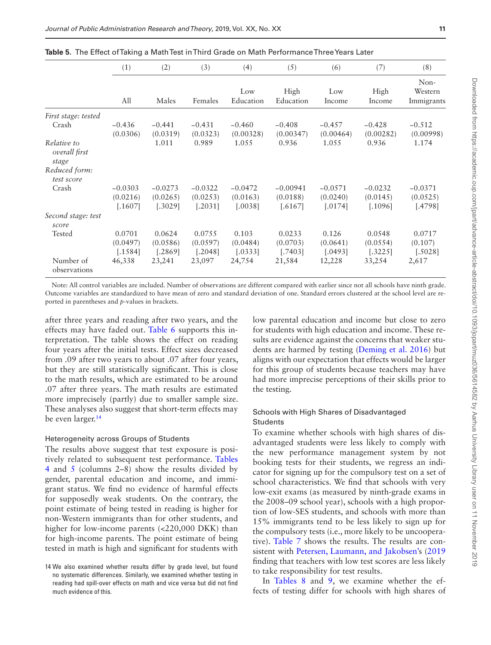|                                       | (1)                              | (2)                              | (3)                              | (4)                              | (5)                              | (6)                              | (7)                              | (8)                              |
|---------------------------------------|----------------------------------|----------------------------------|----------------------------------|----------------------------------|----------------------------------|----------------------------------|----------------------------------|----------------------------------|
|                                       | All                              | Males                            | Females                          | Low<br>Education                 | High<br>Education                | Low<br>Income                    | High<br>Income                   | Non-<br>Western<br>Immigrants    |
| First stage: tested                   |                                  |                                  |                                  |                                  |                                  |                                  |                                  |                                  |
| Crash                                 | $-0.436$<br>(0.0306)             | $-0.441$<br>(0.0319)             | $-0.431$<br>(0.0323)             | $-0.460$<br>(0.00328)            | $-0.408$<br>(0.00347)            | $-0.457$<br>(0.00464)            | $-0.428$<br>(0.00282)            | $-0.512$<br>(0.00998)            |
| Relative to<br>overall first<br>stage |                                  | 1.011                            | 0.989                            | 1.055                            | 0.936                            | 1.055                            | 0.936                            | 1.174                            |
| Reduced form:<br>test score           |                                  |                                  |                                  |                                  |                                  |                                  |                                  |                                  |
| Crash                                 | $-0.0303$<br>(0.0216)<br>[.1607] | $-0.0273$<br>(0.0265)<br>[.3029] | $-0.0322$<br>(0.0253)<br>[.2031] | $-0.0472$<br>(0.0163)<br>[.0038] | $-0.00941$<br>(0.0188)<br>5.6167 | $-0.0571$<br>(0.0240)<br>[.0174] | $-0.0232$<br>(0.0145)<br>[.1096] | $-0.0371$<br>(0.0525)<br>[.4798] |
| Second stage: test<br>score           |                                  |                                  |                                  |                                  |                                  |                                  |                                  |                                  |
| Tested                                | 0.0701<br>(0.0497)<br>[.1584]    | 0.0624<br>(0.0586)<br>[.2869]    | 0.0755<br>(0.0597)<br>[.2048]    | 0.103<br>(0.0484)<br>[.0333]     | 0.0233<br>(0.0703)<br>[.7403]    | 0.126<br>(0.0641)<br>[.0493]     | 0.0548<br>(0.0554)<br>[.3225]    | 0.0717<br>(0.107)<br>[.5028]     |
| Number of<br>observations             | 46,338                           | 23,241                           | 23,097                           | 24,754                           | 21,584                           | 12,228                           | 33,254                           | 2,617                            |

<span id="page-10-0"></span>**Table 5.** The Effect of Taking a Math Test in Third Grade on Math Performance Three Years Later

Note: All control variables are included. Number of observations are different compared with earlier since not all schools have ninth grade. Outcome variables are standardized to have mean of zero and standard deviation of one. Standard errors clustered at the school level are reported in parentheses and *p*-values in brackets.

after three years and reading after two years, and the effects may have faded out. [Table 6](#page-11-0) supports this interpretation. The table shows the effect on reading four years after the initial tests. Effect sizes decreased from .09 after two years to about .07 after four years, but they are still statistically significant. This is close to the math results, which are estimated to be around .07 after three years. The math results are estimated more imprecisely (partly) due to smaller sample size. These analyses also suggest that short-term effects may be even larger.<sup>14</sup>

## Heterogeneity across Groups of Students

The results above suggest that test exposure is positively related to subsequent test performance. [Tables](#page-9-1)  [4](#page-9-1) and [5](#page-10-0) (columns 2–8) show the results divided by gender, parental education and income, and immigrant status. We find no evidence of harmful effects for supposedly weak students. On the contrary, the point estimate of being tested in reading is higher for non-Western immigrants than for other students, and higher for low-income parents (<220,000 DKK) than for high-income parents. The point estimate of being tested in math is high and significant for students with

low parental education and income but close to zero for students with high education and income. These results are evidence against the concerns that weaker students are harmed by testing ([Deming et al. 2016](#page-15-2)) but aligns with our expectation that effects would be larger for this group of students because teachers may have had more imprecise perceptions of their skills prior to the testing.

## Schools with High Shares of Disadvantaged Students

To examine whether schools with high shares of disadvantaged students were less likely to comply with the new performance management system by not booking tests for their students, we regress an indicator for signing up for the compulsory test on a set of school characteristics. We find that schools with very low-exit exams (as measured by ninth-grade exams in the 2008–09 school year), schools with a high proportion of low-SES students, and schools with more than 15% immigrants tend to be less likely to sign up for the compulsory tests (i.e., more likely to be uncooperative). [Table 7](#page-12-0) shows the results. The results are consistent with [Petersen, Laumann, and Jakobsen'](#page-16-30)s [\(2019](#page-16-30) finding that teachers with low test scores are less likely to take responsibility for test results.

In [Tables 8](#page-13-0) and [9](#page-13-1), we examine whether the effects of testing differ for schools with high shares of

<span id="page-10-1"></span><sup>14</sup> We also examined whether results differ by grade level, but found no systematic differences. Similarly, we examined whether testing in reading had spill-over effects on math and vice versa but did not find much evidence of this.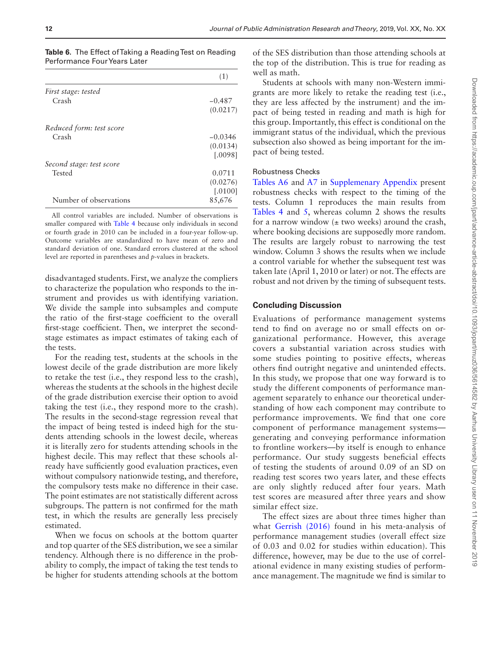<span id="page-11-0"></span>

| <b>Table 6.</b> The Effect of Taking a Reading Test on Reading |  |  |
|----------------------------------------------------------------|--|--|
| Performance Four Years Later                                   |  |  |

|                          | (1)       |
|--------------------------|-----------|
| First stage: tested      |           |
| Crash                    | $-0.487$  |
|                          | (0.0217)  |
| Reduced form: test score |           |
| Crash                    | $-0.0346$ |
|                          | (0.0134)  |
|                          | [.0098]   |
| Second stage: test score |           |
| <b>Tested</b>            | 0.0711    |
|                          | (0.0276)  |
|                          | [.0100]   |
| Number of observations   | 85,676    |

All control variables are included. Number of observations is smaller compared with [Table 4](#page-9-1) because only individuals in second or fourth grade in 2010 can be included in a four-year follow-up. Outcome variables are standardized to have mean of zero and standard deviation of one. Standard errors clustered at the school level are reported in parentheses and *p*-values in brackets.

disadvantaged students. First, we analyze the compliers to characterize the population who responds to the instrument and provides us with identifying variation. We divide the sample into subsamples and compute the ratio of the first-stage coefficient to the overall first-stage coefficient. Then, we interpret the secondstage estimates as impact estimates of taking each of the tests.

For the reading test, students at the schools in the lowest decile of the grade distribution are more likely to retake the test (i.e., they respond less to the crash), whereas the students at the schools in the highest decile of the grade distribution exercise their option to avoid taking the test (i.e., they respond more to the crash). The results in the second-stage regression reveal that the impact of being tested is indeed high for the students attending schools in the lowest decile, whereas it is literally zero for students attending schools in the highest decile. This may reflect that these schools already have sufficiently good evaluation practices, even without compulsory nationwide testing, and therefore, the compulsory tests make no difference in their case. The point estimates are not statistically different across subgroups. The pattern is not confirmed for the math test, in which the results are generally less precisely estimated.

When we focus on schools at the bottom quarter and top quarter of the SES distribution, we see a similar tendency. Although there is no difference in the probability to comply, the impact of taking the test tends to be higher for students attending schools at the bottom

of the SES distribution than those attending schools at the top of the distribution. This is true for reading as well as math.

Students at schools with many non-Western immigrants are more likely to retake the reading test (i.e., they are less affected by the instrument) and the impact of being tested in reading and math is high for this group. Importantly, this effect is conditional on the immigrant status of the individual, which the previous subsection also showed as being important for the impact of being tested.

## Robustness Checks

[Tables A6](http://academic.oup.com/jpart/article-lookup/doi/10.1093/jopart/muz036#supplementary-data) and [A7](http://academic.oup.com/jpart/article-lookup/doi/10.1093/jopart/muz036#supplementary-data) in [Supplemenary Appendix](http://academic.oup.com/jpart/article-lookup/doi/10.1093/jopart/muz036#supplementary-data) present robustness checks with respect to the timing of the tests. Column 1 reproduces the main results from [Tables 4](#page-9-1) and [5,](#page-10-0) whereas column 2 shows the results for a narrow window  $(\pm$  two weeks) around the crash, where booking decisions are supposedly more random. The results are largely robust to narrowing the test window. Column 3 shows the results when we include a control variable for whether the subsequent test was taken late (April 1, 2010 or later) or not. The effects are robust and not driven by the timing of subsequent tests.

## **Concluding Discussion**

Evaluations of performance management systems tend to find on average no or small effects on organizational performance. However, this average covers a substantial variation across studies with some studies pointing to positive effects, whereas others find outright negative and unintended effects. In this study, we propose that one way forward is to study the different components of performance management separately to enhance our theoretical understanding of how each component may contribute to performance improvements. We find that one core component of performance management systems generating and conveying performance information to frontline workers—by itself is enough to enhance performance. Our study suggests beneficial effects of testing the students of around 0.09 of an SD on reading test scores two years later, and these effects are only slightly reduced after four years. Math test scores are measured after three years and show similar effect size.

The effect sizes are about three times higher than what [Gerrish \(2016\)](#page-16-2) found in his meta-analysis of performance management studies (overall effect size of 0.03 and 0.02 for studies within education). This difference, however, may be due to the use of correlational evidence in many existing studies of performance management. The magnitude we find is similar to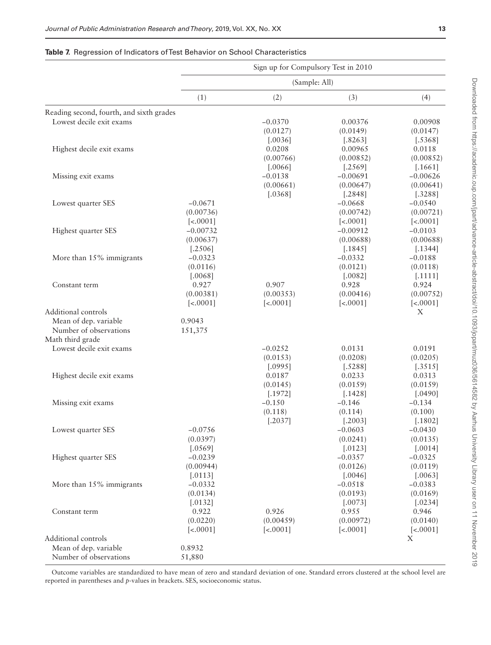## <span id="page-12-0"></span>**Table 7.** Regression of Indicators of Test Behavior on School Characteristics

|                                          | Sign up for Compulsory Test in 2010 |               |                  |                     |  |  |
|------------------------------------------|-------------------------------------|---------------|------------------|---------------------|--|--|
|                                          |                                     | (Sample: All) |                  |                     |  |  |
|                                          | (1)                                 | (2)           | (3)              | (4)                 |  |  |
| Reading second, fourth, and sixth grades |                                     |               |                  |                     |  |  |
| Lowest decile exit exams                 |                                     | $-0.0370$     | 0.00376          | 0.00908             |  |  |
|                                          |                                     | (0.0127)      | (0.0149)         | (0.0147)            |  |  |
|                                          |                                     | [.0036]       | [.8263]          | [.5368]             |  |  |
| Highest decile exit exams                |                                     | 0.0208        | 0.00965          | 0.0118              |  |  |
|                                          |                                     | (0.00766)     | (0.00852)        | (0.00852)           |  |  |
|                                          |                                     | [.0066]       | [.2569]          | [.1661]             |  |  |
| Missing exit exams                       |                                     | $-0.0138$     | $-0.00691$       | $-0.00626$          |  |  |
|                                          |                                     | (0.00661)     | (0.00647)        | (0.00641)           |  |  |
|                                          |                                     | [.0368]       | [.2848]          | [.3288]             |  |  |
| Lowest quarter SES                       | $-0.0671$                           |               | $-0.0668$        | $-0.0540$           |  |  |
|                                          | (0.00736)                           |               | (0.00742)        | (0.00721)           |  |  |
|                                          | $\left[ < .0001 \right]$            |               | $[-0.0001]$      | $[-0.0001]$         |  |  |
| Highest quarter SES                      | $-0.00732$                          |               | $-0.00912$       | $-0.0103$           |  |  |
|                                          | (0.00637)                           |               | (0.00688)        | (0.00688)           |  |  |
|                                          | [.2506]                             |               | [.1845]          | [.1344]             |  |  |
| More than 15% immigrants                 | $-0.0323$                           |               | $-0.0332$        | $-0.0188$           |  |  |
|                                          | (0.0116)                            |               | (0.0121)         | (0.0118)            |  |  |
|                                          | [.0068]                             |               | [.0082]          | [.1111]             |  |  |
| Constant term                            | 0.927                               | 0.907         | 0.928            | 0.924               |  |  |
|                                          | (0.00381)                           | (0.00353)     | (0.00416)        | (0.00752)           |  |  |
|                                          | [<.0001]                            | $[-0.0001]$   | $[-0.0001]$      | $[-0.0001]$         |  |  |
| Additional controls                      |                                     |               |                  | X                   |  |  |
| Mean of dep. variable                    | 0.9043                              |               |                  |                     |  |  |
| Number of observations                   | 151,375                             |               |                  |                     |  |  |
| Math third grade                         |                                     |               |                  |                     |  |  |
| Lowest decile exit exams                 |                                     | $-0.0252$     | 0.0131           | 0.0191              |  |  |
|                                          |                                     | (0.0153)      | (0.0208)         | (0.0205)            |  |  |
|                                          |                                     | [.0995]       | [.5288]          | [.3515]             |  |  |
| Highest decile exit exams                |                                     | 0.0187        | 0.0233           | 0.0313              |  |  |
|                                          |                                     | (0.0145)      | (0.0159)         | (0.0159)            |  |  |
|                                          |                                     | [.1972]       | [.1428]          | [.0490]             |  |  |
| Missing exit exams                       |                                     | $-0.150$      | $-0.146$         | $-0.134$            |  |  |
|                                          |                                     | (0.118)       | (0.114)          | (0.100)             |  |  |
|                                          |                                     | [.2037]       | [.2003]          | [.1802]             |  |  |
| Lowest quarter SES                       | $-0.0756$                           |               | $-0.0603$        | $-0.0430$           |  |  |
|                                          | (0.0397)                            |               | (0.0241)         | (0.0135)            |  |  |
|                                          | [.0569]                             |               | [.0123]          | [.0014]             |  |  |
| Highest quarter SES                      | $-0.0239$                           |               | $-0.0357$        | $-0.0325$           |  |  |
|                                          | (0.00944)                           |               | (0.0126)         | (0.0119)            |  |  |
|                                          | [.0113]                             |               | [.0046]          | [.0063]             |  |  |
| More than 15% immigrants                 | $-0.0332$                           |               | $-0.0518$        | $-0.0383$           |  |  |
|                                          | (0.0134)                            |               | (0.0193)         | (0.0169)<br>[.0234] |  |  |
|                                          | [.0132]<br>0.922                    | 0.926         | [.0073]<br>0.955 | 0.946               |  |  |
| Constant term                            | (0.0220)                            | (0.00459)     | (0.00972)        | (0.0140)            |  |  |
|                                          | $[-0.0001]$                         | $[-0.0001]$   | [<.0001]         | $[-0.0001]$         |  |  |
| Additional controls                      |                                     |               |                  | X                   |  |  |
| Mean of dep. variable                    | 0.8932                              |               |                  |                     |  |  |
| Number of observations                   | 51,880                              |               |                  |                     |  |  |
|                                          |                                     |               |                  |                     |  |  |

Outcome variables are standardized to have mean of zero and standard deviation of one. Standard errors clustered at the school level are reported in parentheses and *p*-values in brackets. SES, socioeconomic status.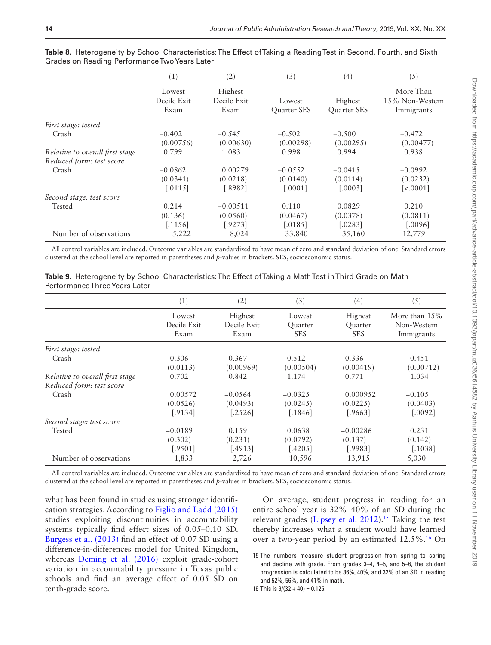|                                 | (1)                           | (2)                            | (3)                          | (4)                           | (5)                                        |
|---------------------------------|-------------------------------|--------------------------------|------------------------------|-------------------------------|--------------------------------------------|
|                                 | Lowest<br>Decile Exit<br>Exam | Highest<br>Decile Exit<br>Exam | Lowest<br><b>Ouarter SES</b> | Highest<br><b>Quarter SES</b> | More Than<br>15% Non-Western<br>Immigrants |
| First stage: tested             |                               |                                |                              |                               |                                            |
| Crash                           | $-0.402$<br>(0.00756)         | $-0.545$<br>(0.00630)          | $-0.502$<br>(0.00298)        | $-0.500$<br>(0.00295)         | $-0.472$<br>(0.00477)                      |
| Relative to overall first stage | 0.799                         | 1.083                          | 0.998                        | 0.994                         | 0.938                                      |
| Reduced form: test score        |                               |                                |                              |                               |                                            |
| Crash                           | $-0.0862$                     | 0.00279                        | $-0.0552$                    | $-0.0415$                     | $-0.0992$                                  |
|                                 | (0.0341)                      | (0.0218)                       | (0.0140)                     | (0.0114)                      | (0.0232)                                   |
|                                 | 0.0115                        | [.8982]                        | [.0001]                      | 0.00031                       | $\left[ < .0001 \right]$                   |
| Second stage: test score        |                               |                                |                              |                               |                                            |
| Tested                          | 0.214                         | $-0.00511$                     | 0.110                        | 0.0829                        | 0.210                                      |
|                                 | (0.136)                       | (0.0560)                       | (0.0467)                     | (0.0378)                      | (0.0811)                                   |
|                                 | [.1156]                       | [.9273]                        | [.0185]                      | [.0283]                       | [.0096]                                    |
| Number of observations          | 5,222                         | 8,024                          | 33,840                       | 35,160                        | 12,779                                     |

<span id="page-13-0"></span>**Table 8.** Heterogeneity by School Characteristics: The Effect of Taking a Reading Test in Second, Fourth, and Sixth Grades on Reading Performance Two Years Later

All control variables are included. Outcome variables are standardized to have mean of zero and standard deviation of one. Standard errors clustered at the school level are reported in parentheses and *p*-values in brackets. SES, socioeconomic status.

<span id="page-13-1"></span>

|                               | Table 9. Heterogeneity by School Characteristics: The Effect of Taking a Math Test in Third Grade on Math |  |  |
|-------------------------------|-----------------------------------------------------------------------------------------------------------|--|--|
| Performance Three Years Later |                                                                                                           |  |  |

|                                 | (1)                           | (2)                            | (3)                             | (4)                              | (5)                                           |
|---------------------------------|-------------------------------|--------------------------------|---------------------------------|----------------------------------|-----------------------------------------------|
|                                 | Lowest<br>Decile Exit<br>Exam | Highest<br>Decile Exit<br>Exam | Lowest<br>Quarter<br><b>SES</b> | Highest<br>Quarter<br><b>SES</b> | More than $15\%$<br>Non-Western<br>Immigrants |
| First stage: tested             |                               |                                |                                 |                                  |                                               |
| Crash                           | $-0.306$                      | $-0.367$                       | $-0.512$                        | $-0.336$                         | $-0.451$                                      |
|                                 | (0.0113)                      | (0.00969)                      | (0.00504)                       | (0.00419)                        | (0.00712)                                     |
| Relative to overall first stage | 0.702                         | 0.842                          | 1.174                           | 0.771                            | 1.034                                         |
| Reduced form: test score        |                               |                                |                                 |                                  |                                               |
| Crash                           | 0.00572                       | $-0.0564$                      | $-0.0325$                       | 0.000952                         | $-0.105$                                      |
|                                 | (0.0526)                      | (0.0493)                       | (0.0245)                        | (0.0225)                         | (0.0403)                                      |
|                                 | [.9134]                       | [.2526]                        | [.1846]                         | [.9663]                          | [.0092]                                       |
| Second stage: test score        |                               |                                |                                 |                                  |                                               |
| Tested                          | $-0.0189$                     | 0.159                          | 0.0638                          | $-0.00286$                       | 0.231                                         |
|                                 | (0.302)                       | (0.231)                        | (0.0792)                        | (0.137)                          | (0.142)                                       |
|                                 | [.9501]                       | [.4913]                        | [.4205]                         | [.9983]                          | [.1038]                                       |
| Number of observations          | 1,833                         | 2,726                          | 10,596                          | 13,915                           | 5,030                                         |

All control variables are included. Outcome variables are standardized to have mean of zero and standard deviation of one. Standard errors clustered at the school level are reported in parentheses and *p*-values in brackets. SES, socioeconomic status.

what has been found in studies using stronger identification strategies. According to [Figlio and Ladd \(2015\)](#page-15-20) studies exploiting discontinuities in accountability systems typically find effect sizes of 0.05–0.10 SD. [Burgess et al. \(2013\)](#page-15-11) find an effect of 0.07 SD using a difference-in-differences model for United Kingdom, whereas Deming et al. (2016) exploit grade-cohort variation in accountability pressure in Texas public schools and find an average effect of 0.05 SD on tenth-grade score.

On average, student progress in reading for an entire school year is 32%–40% of an SD during the relevant grades ([Lipsey et al. 2012\)](#page-16-35).<sup>15</sup> Taking the test thereby increases what a student would have learned over a two-year period by an estimated  $12.5\%$ .<sup>16</sup> On

<span id="page-13-3"></span><span id="page-13-2"></span><sup>15</sup> The numbers measure student progression from spring to spring and decline with grade. From grades 3–4, 4–5, and 5–6, the student progression is calculated to be 36%, 40%, and 32% of an SD in reading and 52%, 56%, and 41% in math.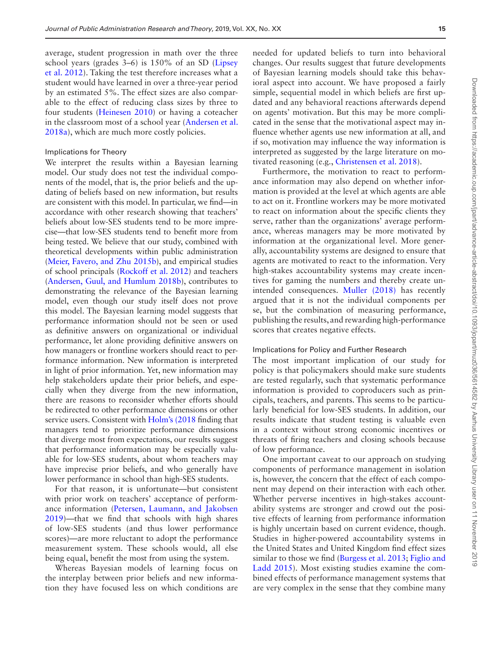average, student progression in math over the three school years (grades 3–6) is 150% of an SD ([Lipsey](#page-16-35)  [et al. 2012\)](#page-16-35). Taking the test therefore increases what a student would have learned in over a three-year period by an estimated 5%. The effect sizes are also comparable to the effect of reducing class sizes by three to four students ([Heinesen 2010](#page-16-36)) or having a coteacher in the classroom most of a school year ([Andersen et al.](#page-15-21)  [2018a\)](#page-15-21), which are much more costly policies.

## Implications for Theory

We interpret the results within a Bayesian learning model. Our study does not test the individual components of the model, that is, the prior beliefs and the updating of beliefs based on new information, but results are consistent with this model. In particular, we find—in accordance with other research showing that teachers' beliefs about low-SES students tend to be more imprecise—that low-SES students tend to benefit more from being tested. We believe that our study, combined with theoretical developments within public administration ([Meier, Favero, and Zhu 2015b\)](#page-16-14), and empirical studies of school principals [\(Rockoff et al. 2012\)](#page-16-15) and teachers ([Andersen, Guul, and Humlum 2018b\)](#page-15-16), contributes to demonstrating the relevance of the Bayesian learning model, even though our study itself does not prove this model. The Bayesian learning model suggests that performance information should not be seen or used as definitive answers on organizational or individual performance, let alone providing definitive answers on how managers or frontline workers should react to performance information. New information is interpreted in light of prior information. Yet, new information may help stakeholders update their prior beliefs, and especially when they diverge from the new information, there are reasons to reconsider whether efforts should be redirected to other performance dimensions or other service users. Consistent with [Holm's \(2018](#page-16-6) finding that managers tend to prioritize performance dimensions that diverge most from expectations, our results suggest that performance information may be especially valuable for low-SES students, about whom teachers may have imprecise prior beliefs, and who generally have lower performance in school than high-SES students.

For that reason, it is unfortunate—but consistent with prior work on teachers' acceptance of performance information [\(Petersen, Laumann, and Jakobsen](#page-16-30)  [2019\)](#page-16-30)—that we find that schools with high shares of low-SES students (and thus lower performance scores)—are more reluctant to adopt the performance measurement system. These schools would, all else being equal, benefit the most from using the system.

Whereas Bayesian models of learning focus on the interplay between prior beliefs and new information they have focused less on which conditions are

needed for updated beliefs to turn into behavioral changes. Our results suggest that future developments of Bayesian learning models should take this behavioral aspect into account. We have proposed a fairly simple, sequential model in which beliefs are first updated and any behavioral reactions afterwards depend on agents' motivation. But this may be more complicated in the sense that the motivational aspect may influence whether agents use new information at all, and if so, motivation may influence the way information is interpreted as suggested by the large literature on motivated reasoning (e.g., [Christensen et al. 2018\)](#page-15-22).

Furthermore, the motivation to react to performance information may also depend on whether information is provided at the level at which agents are able to act on it. Frontline workers may be more motivated to react on information about the specific clients they serve, rather than the organizations' average performance, whereas managers may be more motivated by information at the organizational level. More generally, accountability systems are designed to ensure that agents are motivated to react to the information. Very high-stakes accountability systems may create incentives for gaming the numbers and thereby create unintended consequences. [Muller \(2018\)](#page-16-21) has recently argued that it is not the individual components per se, but the combination of measuring performance, publishing the results, and rewarding high-performance scores that creates negative effects.

#### Implications for Policy and Further Research

The most important implication of our study for policy is that policymakers should make sure students are tested regularly, such that systematic performance information is provided to coproducers such as principals, teachers, and parents. This seems to be particularly beneficial for low-SES students. In addition, our results indicate that student testing is valuable even in a context without strong economic incentives or threats of firing teachers and closing schools because of low performance.

One important caveat to our approach on studying components of performance management in isolation is, however, the concern that the effect of each component may depend on their interaction with each other. Whether perverse incentives in high-stakes accountability systems are stronger and crowd out the positive effects of learning from performance information is highly uncertain based on current evidence, though. Studies in higher-powered accountability systems in the United States and United Kingdom find effect sizes similar to those we find [\(Burgess et al. 2013](#page-15-11); [Figlio and](#page-15-20)  [Ladd 2015\)](#page-15-20). Most existing studies examine the combined effects of performance management systems that are very complex in the sense that they combine many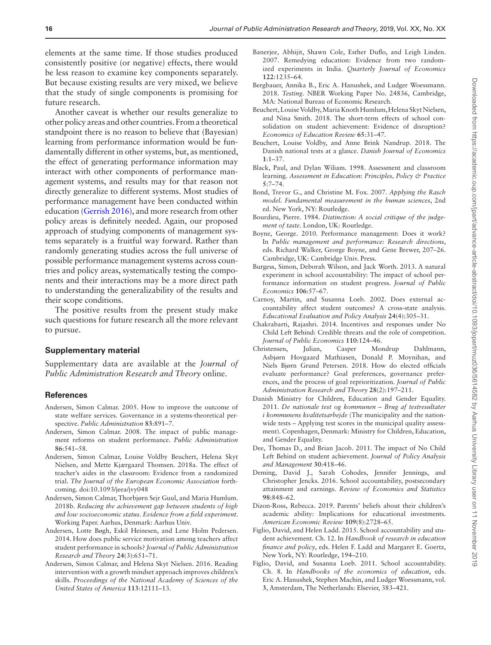elements at the same time. If those studies produced consistently positive (or negative) effects, there would be less reason to examine key components separately. But because existing results are very mixed, we believe that the study of single components is promising for future research.

Another caveat is whether our results generalize to other policy areas and other countries. From a theoretical standpoint there is no reason to believe that (Bayesian) learning from performance information would be fundamentally different in other systems, but, as mentioned, the effect of generating performance information may interact with other components of performance management systems, and results may for that reason not directly generalize to different systems. Most studies of performance management have been conducted within education [\(Gerrish 2016\)](#page-16-2), and more research from other policy areas is definitely needed. Again, our proposed approach of studying components of management systems separately is a fruitful way forward. Rather than randomly generating studies across the full universe of possible performance management systems across countries and policy areas, systematically testing the components and their interactions may be a more direct path to understanding the generalizability of the results and their scope conditions.

The positive results from the present study make such questions for future research all the more relevant to pursue.

#### **Supplementary material**

Supplementary data are available at the *Journal of Public Administration Research and Theory* online.

#### **References**

- <span id="page-15-3"></span>Andersen, Simon Calmar. 2005. How to improve the outcome of state welfare services. Governance in a systems-theoretical perspective. *Public Administration* **83**:891–7.
- <span id="page-15-0"></span>Andersen, Simon Calmar. 2008. The impact of public management reforms on student performance. *Public Administration* **86**:541–58.
- <span id="page-15-21"></span>Andersen, Simon Calmar, Louise Voldby Beuchert, Helena Skyt Nielsen, and Mette Kjærgaard Thomsen. 2018a. The effect of teacher's aides in the classroom: Evidence from a randomized trial. *The Journal of the European Economic Association* forthcoming. doi:10.1093/jeea/jvy048
- <span id="page-15-16"></span>Andersen, Simon Calmar, Thorbjørn Sejr Guul, and Maria Humlum. 2018b. *Reducing the achievement gap between students of high and low socioeconomic status. Evidence from a field experiment*. Working Paper. Aarhus, Denmark: Aarhus Univ.
- <span id="page-15-14"></span>Andersen, Lotte Bøgh, Eskil Heinesen, and Lene Holm Pedersen. 2014. How does public service motivation among teachers affect student performance in schools? *Journal of Public Administration Research and Theory* **24**(3):651–71.
- <span id="page-15-6"></span>Andersen, Simon Calmar, and Helena Skyt Nielsen. 2016. Reading intervention with a growth mindset approach improves children's skills. *Proceedings of the National Academy of Sciences of the United States of America* **113**:12111–13.
- <span id="page-15-7"></span>Banerjee, Abhijit, Shawn Cole, Esther Duflo, and Leigh Linden. 2007. Remedying education: Evidence from two randomized experiments in India. *Quarterly Journal of Economics* **122**:1235–64.
- <span id="page-15-8"></span>Bergbauer, Annika B., Eric A. Hanushek, and Ludger Woessmann. 2018. *Testing*. NBER Working Paper No. 24836, Cambridge, MA: National Bureau of Economic Research.
- Beuchert, Louise Voldby, Maria Knoth Humlum, Helena Skyt Nielsen, and Nina Smith. 2018. The short-term effects of school consolidation on student achievement: Evidence of disruption? *Economics of Education Review* **65**:31–47.
- <span id="page-15-17"></span>Beuchert, Louise Voldby, and Anne Brink Nandrup. 2018. The Danish national tests at a glance. *Danish Journal of Economics* **1**:1–37.
- <span id="page-15-4"></span>Black, Paul, and Dylan Wiliam. 1998. Assessment and classroom learning. *Assessment in Education: Principles, Policy & Practice* **5**:7–74.
- <span id="page-15-19"></span>Bond, Trevor G., and Christine M. Fox. 2007. *Applying the Rasch model. Fundamental measurement in the human sciences*, 2nd ed. New York, NY: Routledge.
- <span id="page-15-15"></span>Bourdieu, Pierre. 1984. *Distinction: A social critique of the judgement of taste*. London, UK: Routledge.
- <span id="page-15-1"></span>Boyne, George. 2010. Performance management: Does it work? In *Public management and performance: Research directions*, eds. Richard Walker, George Boyne, and Gene Brewer, 207–26. Cambridge, UK: Cambridge Univ. Press.
- <span id="page-15-11"></span>Burgess, Simon, Deborah Wilson, and Jack Worth. 2013. A natural experiment in school accountability: The impact of school performance information on student progress. *Journal of Public Economics* **106**:57–67.
- <span id="page-15-12"></span>Carnoy, Martin, and Susanna Loeb. 2002. Does external accountability affect student outcomes? A cross-state analysis. *Educational Evaluation and Policy Analysis* **24**(4):305–31.
- <span id="page-15-10"></span>Chakrabarti, Rajashri. 2014. Incentives and responses under No Child Left Behind: Credible threats and the role of competition. *Journal of Public Economics* **110**:124–46.
- <span id="page-15-22"></span>Christensen, Julian, Casper Mondrup Dahlmann, Asbjørn Hovgaard Mathiasen, Donald P. Moynihan, and Niels Bjørn Grund Petersen. 2018. How do elected officials evaluate performance? Goal preferences, governance preferences, and the process of goal reprioritization. *Journal of Public Administration Research and Theory* **28**(2):197–211.
- <span id="page-15-18"></span>Danish Ministry for Children, Education and Gender Equality. 2011. *De nationale test og kommunen – Brug af testresultater i kommunens kvalitetsarbejde* (The municipality and the nationwide tests – Applying test scores in the municipal quality assessment). Copenhagen, Denmark: Ministry for Children, Education, and Gender Equality.
- <span id="page-15-13"></span>Dee, Thomas D., and Brian Jacob. 2011. The impact of No Child Left Behind on student achievement. *Journal of Policy Analysis and Management* **30**:418–46.
- <span id="page-15-2"></span>Deming, David J., Sarah Cohodes, Jennifer Jennings, and Christopher Jencks. 2016. School accountability, postsecondary attainment and earnings. *Review of Economics and Statistics* **98**:848–62.
- <span id="page-15-5"></span>Dizon-Ross, Rebecca. 2019. Parents' beliefs about their children's academic ability: Implications for educational investments. *American Economic Review* **109**(8):2728–65.
- <span id="page-15-20"></span>Figlio, David, and Helen Ladd. 2015. School accountability and student achievement. Ch. 12. In *Handbook of research in education finance and policy*, eds. Helen F. Ladd and Margaret E. Goertz, New York, NY: Routledge, 194–210.
- <span id="page-15-9"></span>Figlio, David, and Susanna Loeb. 2011. School accountability. Ch. 8. In *Handbooks of the economics of education*, eds. Eric A. Hanushek, Stephen Machin, and Ludger Woessmann, vol. **3**, Amsterdam, The Netherlands: Elsevier, 383–421.